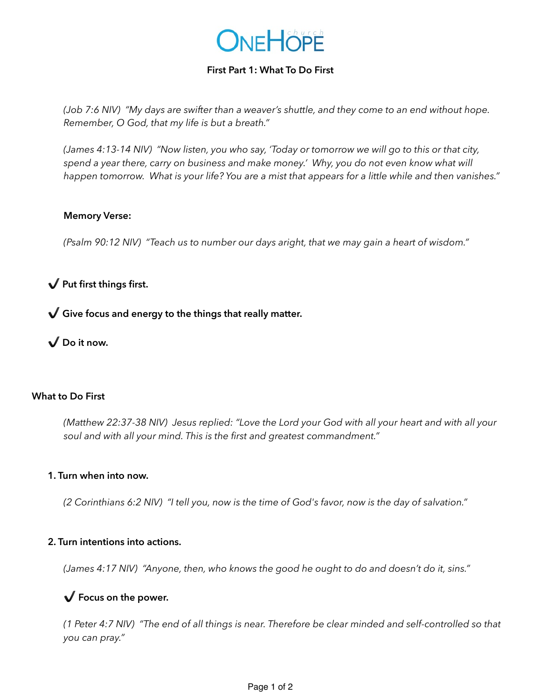

## **First Part 1: What To Do First**

*(Job 7:6 NIV) "My days are swifter than a weaver's shuttle, and they come to an end without hope. Remember, O God, that my life is but a breath."* 

*(James 4:13-14 NIV) "Now listen, you who say, 'Today or tomorrow we will go to this or that city, spend a year there, carry on business and make money.' Why, you do not even know what will happen tomorrow. What is your life? You are a mist that appears for a little while and then vanishes."* 

#### **Memory Verse:**

*(Psalm 90:12 NIV) "Teach us to number our days aright, that we may gain a heart of wisdom."* 

# ✔️ **Put first things first.**

✔️ **Give focus and energy to the things that really matter.**

✔️ **Do it now.** 

## **What to Do First**

*(Matthew 22:37-38 NIV) Jesus replied: "Love the Lord your God with all your heart and with all your soul and with all your mind. This is the first and greatest commandment."* 

#### **1. Turn when into now.**

*(2 Corinthians 6:2 NIV) "I tell you, now is the time of God's favor, now is the day of salvation."* 

#### **2. Turn intentions into actions.**

*(James 4:17 NIV) "Anyone, then, who knows the good he ought to do and doesn't do it, sins."* 

# ✔️ **Focus on the power.**

*(1 Peter 4:7 NIV) "The end of all things is near. Therefore be clear minded and self-controlled so that you can pray."*